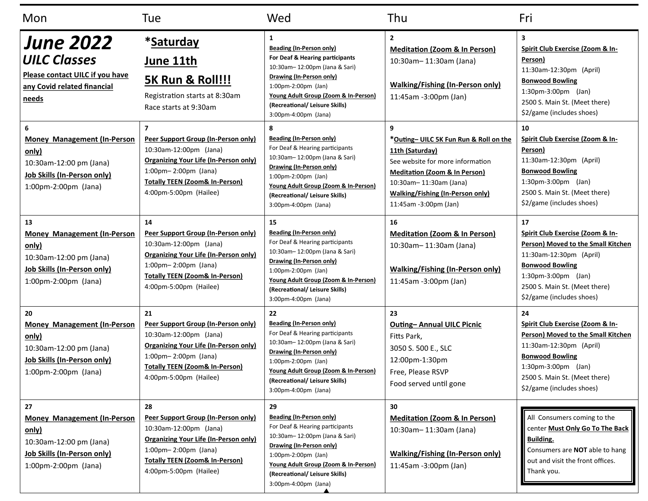| Mon                                                                                                                                        | Tue                                                                                                                                                                                                                                                          | Wed                                                                                                                                                                                                                                                            | Thu                                                                                                                                                                                                                                   | Fri                                                                                                                                                                                                                       |
|--------------------------------------------------------------------------------------------------------------------------------------------|--------------------------------------------------------------------------------------------------------------------------------------------------------------------------------------------------------------------------------------------------------------|----------------------------------------------------------------------------------------------------------------------------------------------------------------------------------------------------------------------------------------------------------------|---------------------------------------------------------------------------------------------------------------------------------------------------------------------------------------------------------------------------------------|---------------------------------------------------------------------------------------------------------------------------------------------------------------------------------------------------------------------------|
| <b>June 2022</b><br><b>UILC Classes</b><br>Please contact UILC if you have<br>any Covid related financial<br>needs                         | *Saturday<br><u>June 11th</u><br><b>5K Run &amp; Roll!!!</b><br>Registration starts at 8:30am<br>Race starts at 9:30am                                                                                                                                       | 1<br><b>Beading (In-Person only)</b><br>For Deaf & Hearing participants<br>10:30am-12:00pm (Jana & Sari)<br>Drawing (In-Person only)<br>1:00pm-2:00pm (Jan)<br>Young Adult Group (Zoom & In-Person)<br>(Recreational/ Leisure Skills)<br>3:00pm-4:00pm (Jana)  | $\overline{2}$<br><b>Meditation (Zoom &amp; In Person)</b><br>10:30am-11:30am (Jana)<br><b>Walking/Fishing (In-Person only)</b><br>11:45am -3:00pm (Jan)                                                                              | 3<br>Spirit Club Exercise (Zoom & In-<br>Person)<br>11:30am-12:30pm (April)<br><b>Bonwood Bowling</b><br>$1:30$ pm-3:00pm (Jan)<br>2500 S. Main St. (Meet there)<br>\$2/game (includes shoes)                             |
| 6<br><b>Money Management (In-Person</b><br>only)<br>10:30am-12:00 pm (Jana)<br>Job Skills (In-Person only)<br>1:00pm-2:00pm (Jana)         | $\overline{\phantom{a}}$<br>Peer Support Group (In-Person only)<br>10:30am-12:00pm (Jana)<br><b>Organizing Your Life (In-Person only)</b><br>$1:00 \text{pm} - 2:00 \text{pm}$ (Jana)<br><b>Totally TEEN (Zoom&amp; In-Person)</b><br>4:00pm-5:00pm (Hailee) | 8<br><b>Beading (In-Person only)</b><br>For Deaf & Hearing participants<br>10:30am-12:00pm (Jana & Sari)<br>Drawing (In-Person only)<br>1:00pm-2:00pm (Jan)<br>Young Adult Group (Zoom & In-Person)<br>(Recreational/ Leisure Skills)<br>3:00pm-4:00pm (Jana)  | 9<br>*Outing- UILC 5K Fun Run & Roll on the<br>11th (Saturday)<br>See website for more information<br><b>Meditation (Zoom &amp; In Person)</b><br>10:30am-11:30am (Jana)<br>Walking/Fishing (In-Person only)<br>11:45am -3:00pm (Jan) | 10<br>Spirit Club Exercise (Zoom & In-<br>Person)<br>11:30am-12:30pm (April)<br><b>Bonwood Bowling</b><br>$1:30 \text{pm} - 3:00 \text{pm}$ (Jan)<br>2500 S. Main St. (Meet there)<br>\$2/game (includes shoes)           |
| 13<br><b>Money Management (In-Person</b><br>only)<br>10:30am-12:00 pm (Jana)<br>Job Skills (In-Person only)<br>1:00pm-2:00pm (Jana)        | 14<br>Peer Support Group (In-Person only)<br>10:30am-12:00pm (Jana)<br><b>Organizing Your Life (In-Person only)</b><br>$1:00$ pm- $2:00$ pm (Jana)<br><b>Totally TEEN (Zoom&amp; In-Person)</b><br>4:00pm-5:00pm (Hailee)                                    | 15<br>Beading (In-Person only)<br>For Deaf & Hearing participants<br>10:30am-12:00pm (Jana & Sari)<br>Drawing (In-Person only)<br>1:00pm-2:00pm (Jan)<br>Young Adult Group (Zoom & In-Person)<br>(Recreational/ Leisure Skills)<br>3:00pm-4:00pm (Jana)        | 16<br><b>Meditation (Zoom &amp; In Person)</b><br>10:30am-11:30am (Jana)<br><b>Walking/Fishing (In-Person only)</b><br>11:45am -3:00pm (Jan)                                                                                          | 17<br>Spirit Club Exercise (Zoom & In-<br>Person) Moved to the Small Kitchen<br>11:30am-12:30pm (April)<br><b>Bonwood Bowling</b><br>$1:30$ pm-3:00pm (Jan)<br>2500 S. Main St. (Meet there)<br>\$2/game (includes shoes) |
| 20<br><b>Money Management (In-Person</b><br>only)<br>10:30am-12:00 pm (Jana)<br><b>Job Skills (In-Person only)</b><br>1:00pm-2:00pm (Jana) | 21<br>Peer Support Group (In-Person only)<br>10:30am-12:00pm (Jana)<br><b>Organizing Your Life (In-Person only)</b><br>$1:00$ pm - 2:00pm (Jana)<br><b>Totally TEEN (Zoom&amp; In-Person)</b><br>4:00pm-5:00pm (Hailee)                                      | 22<br><b>Beading (In-Person only)</b><br>For Deaf & Hearing participants<br>10:30am-12:00pm (Jana & Sari)<br>Drawing (In-Person only)<br>1:00pm-2:00pm (Jan)<br>Young Adult Group (Zoom & In-Person)<br>(Recreational/ Leisure Skills)<br>3:00pm-4:00pm (Jana) | 23<br><b>Outing-Annual UILC Picnic</b><br>Fitts Park,<br>3050 S. 500 E., SLC<br>12:00pm-1:30pm<br>Free, Please RSVP<br>Food served until gone                                                                                         | 24<br>Spirit Club Exercise (Zoom & In-<br>Person) Moved to the Small Kitchen<br>11:30am-12:30pm (April)<br><b>Bonwood Bowling</b><br>1:30pm-3:00pm (Jan)<br>2500 S. Main St. (Meet there)<br>\$2/game (includes shoes)    |
| 27<br><b>Money Management (In-Person</b><br>only)<br>10:30am-12:00 pm (Jana)<br><b>Job Skills (In-Person only)</b><br>1:00pm-2:00pm (Jana) | 28<br>Peer Support Group (In-Person only)<br>10:30am-12:00pm (Jana)<br><b>Organizing Your Life (In-Person only)</b><br>$1:00$ pm- $2:00$ pm (Jana)<br><b>Totally TEEN (Zoom&amp; In-Person)</b><br>4:00pm-5:00pm (Hailee)                                    | 29<br><b>Beading (In-Person only)</b><br>For Deaf & Hearing participants<br>10:30am-12:00pm (Jana & Sari)<br>Drawing (In-Person only)<br>1:00pm-2:00pm (Jan)<br>Young Adult Group (Zoom & In-Person)<br>(Recreational/ Leisure Skills)<br>3:00pm-4:00pm (Jana) | 30<br><b>Meditation (Zoom &amp; In Person)</b><br>10:30am-11:30am (Jana)<br><b>Walking/Fishing (In-Person only)</b><br>11:45am -3:00pm (Jan)                                                                                          | All Consumers coming to the<br>center Must Only Go To The Back  <br>Building.<br>Consumers are NOT able to hang<br>out and visit the front offices.<br>Thank you.                                                         |